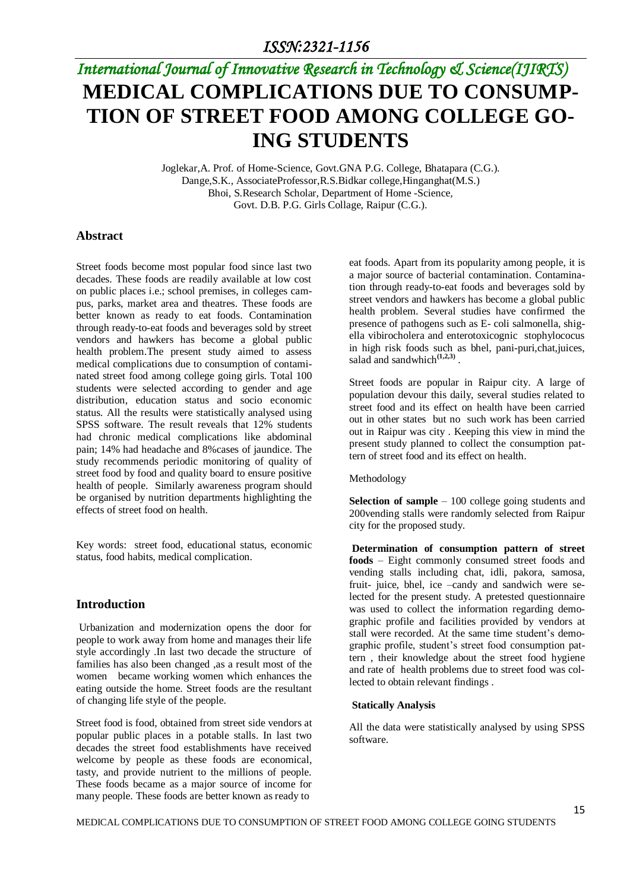### *ISSN:2321-1156*

# *International Journal of Innovative Research in Technology & Science(IJIRTS)* **MEDICAL COMPLICATIONS DUE TO CONSUMP-TION OF STREET FOOD AMONG COLLEGE GO-ING STUDENTS**

Joglekar,A. Prof. of Home-Science, Govt.GNA P.G. College, Bhatapara (C.G.). Dange,S.K., AssociateProfessor,R.S.Bidkar college,Hinganghat(M.S.) Bhoi, S.Research Scholar*,* Department of Home -Science*,* Govt. D.B. P.G. Girls Collage, Raipur (C.G.).

#### **Abstract**

Street foods become most popular food since last two decades. These foods are readily available at low cost on public places i.e.; school premises, in colleges campus, parks, market area and theatres. These foods are better known as ready to eat foods. Contamination through ready-to-eat foods and beverages sold by street vendors and hawkers has become a global public health problem.The present study aimed to assess medical complications due to consumption of contaminated street food among college going girls. Total 100 students were selected according to gender and age distribution, education status and socio economic status. All the results were statistically analysed using SPSS software. The result reveals that 12% students had chronic medical complications like abdominal pain; 14% had headache and 8%cases of jaundice. The study recommends periodic monitoring of quality of street food by food and quality board to ensure positive health of people. Similarly awareness program should be organised by nutrition departments highlighting the effects of street food on health.

Key words: street food, educational status, economic status, food habits, medical complication.

#### **Introduction**

Urbanization and modernization opens the door for people to work away from home and manages their life style accordingly .In last two decade the structure of families has also been changed ,as a result most of the women became working women which enhances the eating outside the home. Street foods are the resultant of changing life style of the people.

Street food is food, obtained from street side vendors at popular public places in a potable stalls. In last two decades the street food establishments have received welcome by people as these foods are economical, tasty, and provide nutrient to the millions of people. These foods became as a major source of income for many people. These foods are better known as ready to

eat foods. Apart from its popularity among people, it is a major source of bacterial contamination. Contamination through ready-to-eat foods and beverages sold by street vendors and hawkers has become a global public health problem. Several studies have confirmed the presence of pathogens such as E- coli salmonella, shigella vibirocholera and enterotoxicognic stophylococus in high risk foods such as bhel, pani-puri,chat,juices, salad and sandwhich<sup>(1,2,3)</sup>.

Street foods are popular in Raipur city. A large of population devour this daily, several studies related to street food and its effect on health have been carried out in other states but no such work has been carried out in Raipur was city . Keeping this view in mind the present study planned to collect the consumption pattern of street food and its effect on health.

#### Methodology

**Selection of sample** – 100 college going students and 200vending stalls were randomly selected from Raipur city for the proposed study.

**Determination of consumption pattern of street foods** – Eight commonly consumed street foods and vending stalls including chat, idli, pakora, samosa, fruit- juice, bhel, ice –candy and sandwich were selected for the present study. A pretested questionnaire was used to collect the information regarding demographic profile and facilities provided by vendors at stall were recorded. At the same time student's demographic profile, student's street food consumption pattern , their knowledge about the street food hygiene and rate of health problems due to street food was collected to obtain relevant findings .

#### **Statically Analysis**

All the data were statistically analysed by using SPSS software.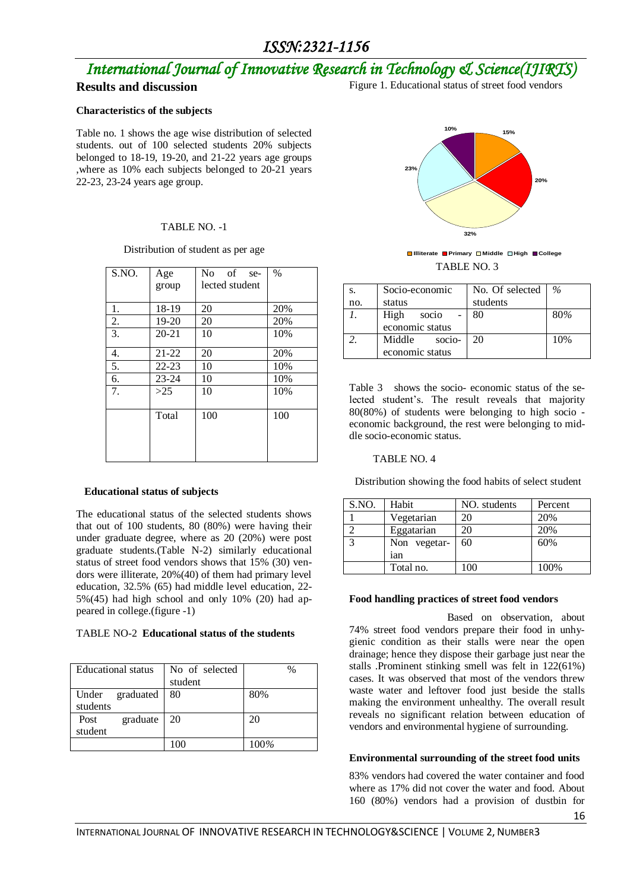## *ISSN:2321-1156*

# *International Journal of Innovative Research in Technology & Science(IJIRTS)*

### **Results and discussion**

Figure 1. Educational status of street food vendors

#### **Characteristics of the subjects**

Table no. 1 shows the age wise distribution of selected students. out of 100 selected students 20% subjects belonged to 18-19, 19-20, and 21-22 years age groups ,where as 10% each subjects belonged to 20-21 years 22-23, 23-24 years age group.

#### TABLE NO. -1

#### Distribution of student as per age

| S.NO. | Age       | of<br>No.<br>se- | $\%$ |
|-------|-----------|------------------|------|
|       | group     | lected student   |      |
|       |           |                  |      |
| 1.    | 18-19     | 20               | 20%  |
| 2.    | 19-20     | 20               | 20%  |
| 3.    | $20 - 21$ | 10               | 10%  |
| 4.    | $21 - 22$ | 20               | 20%  |
| 5.    | $22 - 23$ | 10               | 10%  |
| 6.    | $23 - 24$ | 10               | 10%  |
| 7.    | >25       | 10               | 10%  |
|       |           |                  |      |
|       | Total     | 100              | 100  |
|       |           |                  |      |
|       |           |                  |      |
|       |           |                  |      |

#### **Educational status of subjects**

The educational status of the selected students shows that out of 100 students, 80 (80%) were having their under graduate degree, where as 20 (20%) were post graduate students.(Table N-2) similarly educational status of street food vendors shows that 15% (30) vendors were illiterate, 20%(40) of them had primary level education, 32.5% (65) had middle level education, 22-  $5\%$  (45) had high school and only 10% (20) had appeared in college.(figure -1)

#### TABLE NO-2 **Educational status of the students**

| <b>Educational</b> status | No of selected | $\%$ |
|---------------------------|----------------|------|
|                           | student        |      |
| Under graduated           | -80            | 80%  |
| students                  |                |      |
| graduate<br>Post          | -20            | 20   |
| student                   |                |      |
|                           |                | 100% |



TABLE NO. 3 **Illiterate Primary Middle High College**

| S.  | Socio-economic                      | No. Of selected | $\%$ |
|-----|-------------------------------------|-----------------|------|
| no. | status                              | students        |      |
|     | High<br>socio<br>economic status    | 80              | 80%  |
|     | Middle<br>socio-<br>economic status | 20              | 10%  |

Table 3 shows the socio- economic status of the selected student's. The result reveals that majority 80(80%) of students were belonging to high socio economic background, the rest were belonging to middle socio-economic status.

#### TABLE NO. 4

Distribution showing the food habits of select student

| S.NO. | Habit        | NO. students | Percent |
|-------|--------------|--------------|---------|
|       | Vegetarian   | 20           | 20%     |
|       | Eggatarian   | 20           | 20%     |
|       | Non vegetar- | 60           | 60%     |
|       | ian          |              |         |
|       | Total no.    | 100          | 100%    |

#### **Food handling practices of street food vendors**

 Based on observation, about 74% street food vendors prepare their food in unhygienic condition as their stalls were near the open drainage; hence they dispose their garbage just near the stalls .Prominent stinking smell was felt in 122(61%) cases. It was observed that most of the vendors threw waste water and leftover food just beside the stalls making the environment unhealthy. The overall result reveals no significant relation between education of vendors and environmental hygiene of surrounding.

#### **Environmental surrounding of the street food units**

83% vendors had covered the water container and food where as 17% did not cover the water and food. About 160 (80%) vendors had a provision of dustbin for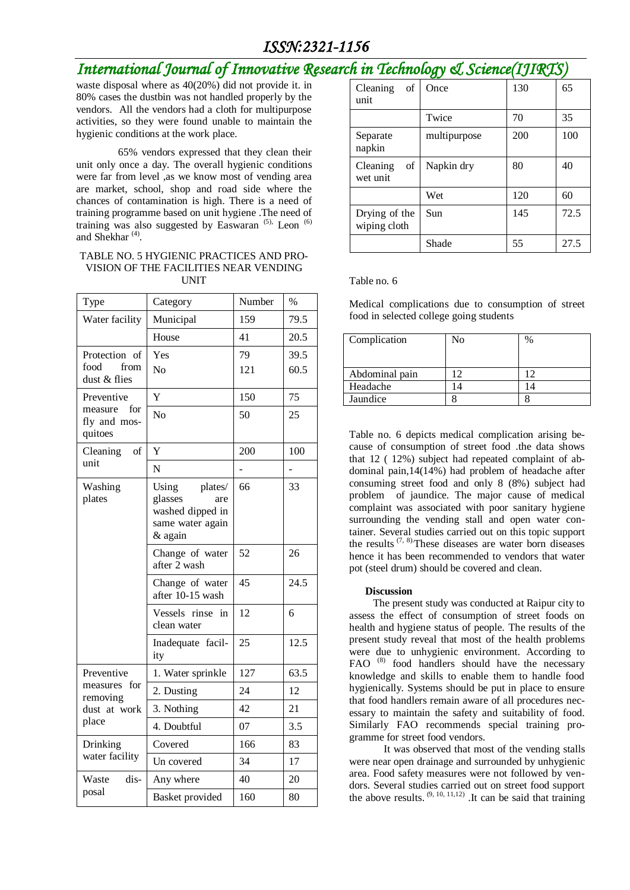## *ISSN:2321-1156*

## *International Journal of Innovative Research in Technology & Science(IJIRTS)*

waste disposal where as 40(20%) did not provide it. in 80% cases the dustbin was not handled properly by the vendors. All the vendors had a cloth for multipurpose activities, so they were found unable to maintain the hygienic conditions at the work place.

65% vendors expressed that they clean their unit only once a day. The overall hygienic conditions were far from level ,as we know most of vending area are market, school, shop and road side where the chances of contamination is high. There is a need of training programme based on unit hygiene .The need of training was also suggested by Easwaran<sup>(5),</sup> Leon<sup>(6)</sup> and Shekhar<sup>(4)</sup>.

#### TABLE NO. 5 HYGIENIC PRACTICES AND PRO-VISION OF THE FACILITIES NEAR VENDING UNIT

| Type                                          | Category                                                                              | Number    | $\%$         |
|-----------------------------------------------|---------------------------------------------------------------------------------------|-----------|--------------|
| Water facility                                | Municipal                                                                             | 159       | 79.5         |
|                                               | House                                                                                 | 41        | 20.5         |
| Protection of<br>food<br>from<br>dust & flies | Yes<br>No                                                                             | 79<br>121 | 39.5<br>60.5 |
| Preventive                                    | Y                                                                                     | 150       | 75           |
| for<br>measure<br>fly and mos-<br>quitoes     | No                                                                                    | 50        | 25           |
| Cleaning<br>of                                | Y                                                                                     | 200       | 100          |
| unit                                          | N                                                                                     |           |              |
| Washing<br>plates                             | Using<br>plates/<br>glasses<br>are<br>washed dipped in<br>same water again<br>& again | 66        | 33           |
|                                               | Change of water<br>after 2 wash                                                       | 52        | 26           |
|                                               | Change of water<br>after 10-15 wash                                                   | 45        | 24.5         |
|                                               | Vessels rinse<br>in<br>clean water                                                    | 12        | 6            |
|                                               | Inadequate facil-<br>ity                                                              | 25        | 12.5         |
| Preventive                                    | 1. Water sprinkle                                                                     | 127       | 63.5         |
| measures for<br>removing<br>dust at work      | 2. Dusting                                                                            | 24        | 12           |
|                                               | 3. Nothing                                                                            | 42        | 21           |
| place                                         | 4. Doubtful                                                                           | 07        | 3.5          |
| Drinking                                      | Covered                                                                               | 166       | 83           |
| water facility                                | Un covered                                                                            | 34        | 17           |
| dis-<br>Waste                                 | Any where                                                                             | 40        | 20           |
| posal                                         | Basket provided                                                                       | 160       | 80           |

| Cleaning<br>of<br>unit        | Once         | 130 | 65   |
|-------------------------------|--------------|-----|------|
|                               | Twice        | 70  | 35   |
| Separate<br>napkin            | multipurpose | 200 | 100  |
| of<br>Cleaning<br>wet unit    | Napkin dry   | 80  | 40   |
|                               | Wet          | 120 | 60   |
| Drying of the<br>wiping cloth | Sun          | 145 | 72.5 |
|                               | Shade        | 55  | 27.5 |

#### Table no. 6

Medical complications due to consumption of street food in selected college going students

| Complication   | No | $\%$ |
|----------------|----|------|
| Abdominal pain |    | 1つ   |
| Headache       |    |      |
| Jaundice       |    |      |

Table no. 6 depicts medical complication arising because of consumption of street food .the data shows that 12 ( 12%) subject had repeated complaint of abdominal pain,14(14%) had problem of headache after consuming street food and only 8 (8%) subject had problem of jaundice. The major cause of medical complaint was associated with poor sanitary hygiene surrounding the vending stall and open water container. Several studies carried out on this topic support the results  $(7, 8)$ . These diseases are water born diseases hence it has been recommended to vendors that water pot (steel drum) should be covered and clean.

#### **Discussion**

 The present study was conducted at Raipur city to assess the effect of consumption of street foods on health and hygiene status of people. The results of the present study reveal that most of the health problems were due to unhygienic environment. According to FAO<sup>(8)</sup> food handlers should have the necessary knowledge and skills to enable them to handle food hygienically. Systems should be put in place to ensure that food handlers remain aware of all procedures necessary to maintain the safety and suitability of food. Similarly FAO recommends special training programme for street food vendors.

 It was observed that most of the vending stalls were near open drainage and surrounded by unhygienic area. Food safety measures were not followed by vendors. Several studies carried out on street food support the above results.  $(9, 10, 11, 12)$ . It can be said that training